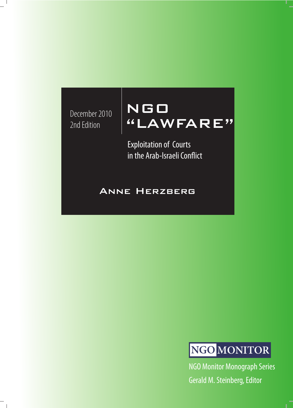December 2010 2nd Edition

 $\mathcal{L}$ 

 $^{-}$   $_{\perp}$ 

## NGO "LAWFARE"

Exploitation of Courts in the Arab-Israeli Conflict

## **ANNE HERZBERG**



Gerald M. Steinberg, Editor NGO Monitor Monograph Series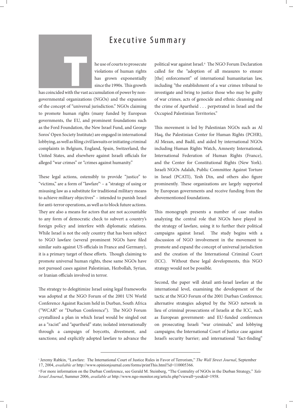## Executive Summary



he use of courts to prosecute violations of human rights has grown exponentially since the 1990s. This growth

governmental organizations (NGOs) and the expansion of the concept of "universal jurisdiction." NGOs claiming to promote human rights (many funded by European governments, the EU, and prominent foundations such as the Ford Foundation, the New Israel Fund, and George Soros' Open Society Institute) are engaged in international lobbying, as well as filing civil lawsuits or initiating criminal complaints in Belgium, England, Spain, Switzerland, the United States, and elsewhere against Israeli officials for alleged "war crimes" or "crimes against humanity."

These legal actions, ostensibly to provide "justice" to "victims," are a form of "lawfare"<sup>i</sup> – a "strategy of using or misusing law as a substitute for traditional military means to achieve military objectives" – intended to punish Israel for anti-terror operations, as well as to block future actions. They are also a means for actors that are not accountable to any form of democratic check to subvert a country's foreign policy and interfere with diplomatic relations. While Israel is not the only country that has been subject to NGO lawfare (several prominent NGOs have filed similar suits against US officials in France and Germany), it is a primary target of these efforts. Though claiming to promote universal human rights, these same NGOs have not pursued cases against Palestinian, Hezbollah, Syrian, or Iranian officials involved in terror.

The strategy to delegitimize Israel using legal frameworks was adopted at the NGO Forum of the 2001 UN World Conference Against Racism held in Durban, South Africa ("WCAR" or "Durban Conference"). The NGO Forum crystallized a plan in which Israel would be singled out as a "racist" and "apartheid" state; isolated internationally through a campaign of boycotts, divestment, and sanctions; and explicitly adopted lawfare to advance the

political war against Israel.<sup>ii</sup> The NGO Forum Declaration called for the "adoption of all measures to ensure [the] enforcement" of international humanitarian law, including "the establishment of a war crimes tribunal to investigate and bring to justice those who may be guilty of war crimes, acts of genocide and ethnic cleansing and the crime of Apartheid . . . perpetrated in Israel and the Occupied Palestinian Territories."

This movement is led by Palestinian NGOs such as Al Haq, the Palestinian Center for Human Rights (PCHR), Al Mezan, and Badil, and aided by international NGOs including Human Rights Watch, Amnesty International, International Federation of Human Rights (France), and the Center for Constitutional Rights (New York). Israeli NGOs Adalah, Public Committee Against Torture in Israel (PCATI), Yesh Din, and others also figure prominently. These organizations are largely supported by European governments and receive funding from the abovementioned foundations.

This monograph presents a number of case studies analyzing the central role that NGOs have played in the strategy of lawfare, using it to further their political campaigns against Israel. The study begins with a discussion of NGO involvement in the movement to promote and expand the concept of universal jurisdiction and the creation of the International Criminal Court (ICC). Without these legal developments, this NGO strategy would not be possible.

Second, the paper will detail anti-Israel lawfare at the international level, examining the development of the tactic at the NGO Forum of the 2001 Durban Conference; alternative strategies adopted by the NGO network in lieu of criminal prosecutions of Israelis at the ICC, such as European government- and EU-funded conferences on prosecuting Israeli "war criminals," and lobbying campaigns; the International Court of Justice case against Israel's security barrier; and international "fact-finding"

i Jeremy Rabkin, "Lawfare: The International Court of Justice Rules in Favor of Terrorism," *The Wall Street Journal*, September 17, 2004, *available at* http://www.opinionjournal.com/forms/printThis.html?id=110005366.

ii For more information on the Durban Conference, see Gerald M. Steinberg, "The Centrality of NGOs in the Durban Strategy," *Yale Israel Journal*, Summer 2006, *available at* http://www.ngo-monitor.org/article.php?viewall=yes&id=1958.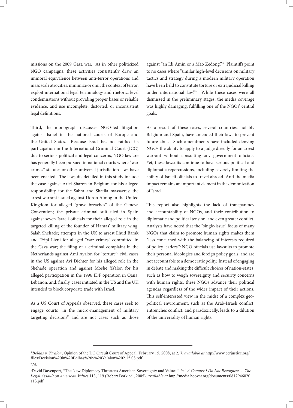missions on the 2009 Gaza war. As in other politicized NGO campaigns, these activities consistently draw an immoral equivalence between anti-terror operations and mass scale atrocities, minimize or omit the context of terror, exploit international legal terminology and rhetoric, level condemnations without providing proper bases or reliable evidence, and use incomplete, distorted, or inconsistent legal definitions.

Third, the monograph discusses NGO-led litigation against Israel in the national courts of Europe and the United States. Because Israel has not ratified its participation in the International Criminal Court (ICC) due to serious political and legal concerns, NGO lawfare has generally been pursued in national courts where "war crimes" statutes or other universal jurisdiction laws have been enacted. The lawsuits detailed in this study include the case against Ariel Sharon in Belgium for his alleged responsibility for the Sabra and Shatila massacres; the arrest warrant issued against Doron Almog in the United Kingdom for alleged "grave breaches" of the Geneva Convention; the private criminal suit filed in Spain against seven Israeli officials for their alleged role in the targeted killing of the founder of Hamas' military wing, Salah Shehade; attempts in the UK to arrest Ehud Barak and Tzipi Livni for alleged "war crimes" committed in the Gaza war; the filing of a criminal complaint in the Netherlands against Ami Ayalon for "torture"; civil cases in the US against Avi Dichter for his alleged role in the Shehade operation and against Moshe Ya'alon for his alleged participation in the 1996 IDF operation in Qana, Lebanon; and, finally, cases initiated in the US and the UK intended to block corporate trade with Israel.

As a US Court of Appeals observed, these cases seek to engage courts "in the micro-management of military targeting decisions" and are not cases such as those against "an Idi Amin or a Mao Zedong."iii Plaintiffs point to no cases where "similar high-level decisions on military tactics and strategy during a modern military operation have been held to constitute torture or extrajudicial killing under international law."iv While these cases were all dismissed in the preliminary stages, the media coverage was highly damaging, fulfilling one of the NGOs' central goals.

As a result of these cases, several countries, notably Belgium and Spain, have amended their laws to prevent future abuse. Such amendments have included denying NGOs the ability to apply to a judge directly for an arrest warrant without consulting any government officials. Yet, these lawsuits continue to have serious political and diplomatic repercussions, including severely limiting the ability of Israeli officials to travel abroad. And the media impact remains an important element in the demonization of Israel.

This report also highlights the lack of transparency and accountability of NGOs, and their contribution to diplomatic and political tension, and even greater conflict. Analysts have noted that the "single-issue" focus of many NGOs that claim to promote human rights makes them "less concerned with the balancing of interests required of policy leaders."v NGO officials use lawsuits to promote their personal ideologies and foreign policy goals, and are not accountable to a democratic polity. Instead of engaging in debate and making the difficult choices of nation-states, such as how to weigh sovereignty and security concerns with human rights, these NGOs advance their political agendas regardless of the wider impact of their actions. This self-interested view in the midst of a complex geopolitical environment, such as the Arab-Israeli conflict, entrenches conflict, and paradoxically, leads to a dilution of the universality of human rights.

iii*Belhas v. Ya'alon*, Opinion of the DC Circuit Court of Appeal, February 15, 2008, at 2, 7, *available at* http://www.ccrjustice.org/ files/Decision%20in%20Belhas%20v%20Ya'alon%202.15.08.pdf.

iv*Id*.

v David Davenport, "The New Diplomacy Threatens American Sovereignty and Values," *in "A Country I Do Not Recognize": The Legal Assault on American Values* 113, 119 (Robert Bork ed., 2005), *available at* http://media.hoover.org/documents/0817946020\_ 113.pdf.